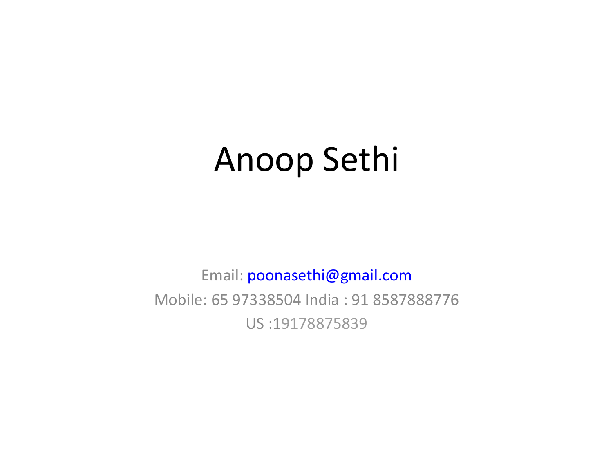## Anoop Sethi

Email: poonasethi@gmail.com

Mobile: 65 97338504 India: 91 8587888776 US :19178875839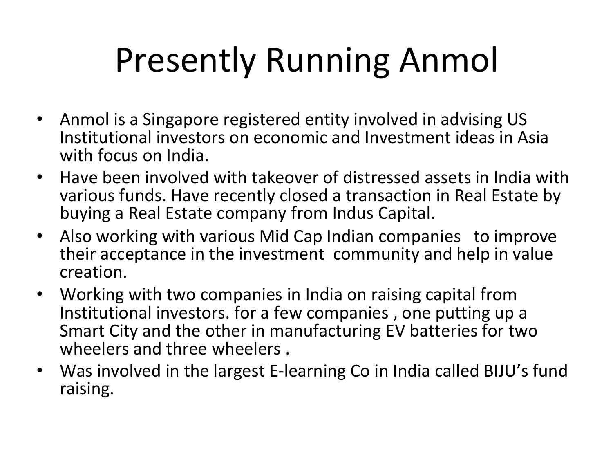# Presently Running Anmol

- Anmol is a Singapore registered entity involved in advising US Institutional investors on economic and Investment ideas in Asia with focus on India.
- Have been involved with takeover of distressed assets in India with various funds. Have recently closed a transaction in Real Estate by buying a Real Estate company from Indus Capital.
- Also working with various Mid Cap Indian companies to improve their acceptance in the investment community and help in value creation.
- Working with two companies in India on raising capital from Institutional investors. for a few companies, one putting up a Smart City and the other in manufacturing EV batteries for two wheelers and three wheelers.
- Was involved in the largest E-learning Co in India called BIJU's fund raising.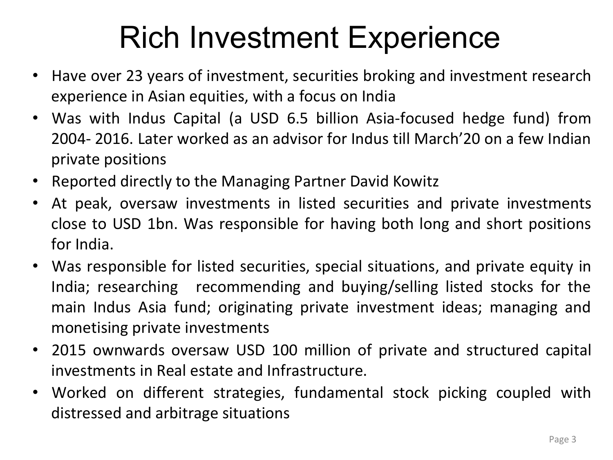#### Rich Investment Experience

- Have over 23 years of investment, securities broking and investment research experience in Asian equities, with a focus on India
- Was with Indus Capital (a USD 6.5 billion Asia-focused hedge fund) from 2004- 2016. Later worked as an advisor for Indus till March'20 on a few Indian private positions
- Reported directly to the Managing Partner David Kowitz
- At peak, oversaw investments in listed securities and private investments close to USD 1bn. Was responsible for having both long and short positions for India.
- Was responsible for listed securities, special situations, and private equity in India; researching recommending and buying/selling listed stocks for the main Indus Asia fund; originating private investment ideas; managing and monetising private investments
- 2015 ownwards oversaw USD 100 million of private and structured capital investments in Real estate and Infrastructure.
- Worked on different strategies, fundamental stock picking coupled with distressed and arbitrage situations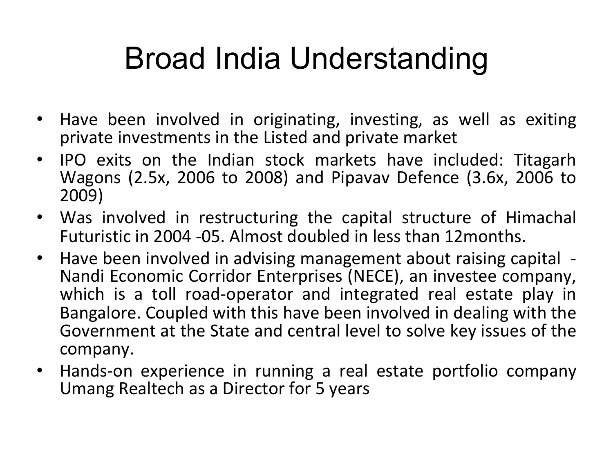### Broad India Understanding

- Have been involved in originating, investing, as well as exiting private investments in the Listed and private market
- IPO exits on the Indian stock markets have included: Titagarh Wagons (2.5x, 2006 to 2008) and Pipavav Defence (3.6x, 2006 to 2009)
- Was involved in restructuring the capital structure of Himachal Futuristic in 2004 -05. Almost doubled in less than 12months.
- Have been involved in advising management about raising capital -Nandi Economic Corridor Enterprises (NECE), an investee company, which is a toll road-operator and integrated real estate play in Bangalore. Coupled with this have been involved in dealing with the Government at the State and central level to solve key issues of the company.
- Hands-on experience in running a real estate portfolio company Umang Realtech as a Director for 5 years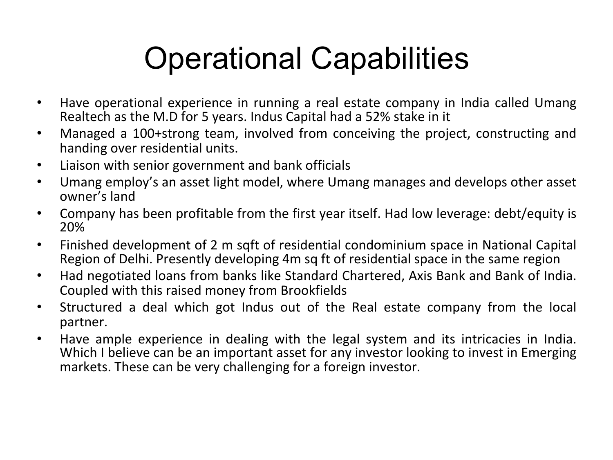#### Operational Capabilities

- Have operational experience in running a real estate company in India called Umang Realtech as the M.D for 5 years. Indus Capital had a 52% stake in it
- Managed a 100+strong team, involved from conceiving the project, constructing and handing over residential units.
- Liaison with senior government and bank officials
- Umang employ's an asset light model, where Umang manages and develops other asset owner's land
- Company has been profitable from the first year itself. Had low leverage: debt/equity is 20%
- Finished development of 2 m sqft of residential condominium space in National Capital Region of Delhi. Presently developing 4m sq ft of residential space in the same region
- Had negotiated loans from banks like Standard Chartered, Axis Bank and Bank of India. Coupled with this raised money from Brookfields
- Structured a deal which got Indus out of the Real estate company from the local partner.
- Have ample experience in dealing with the legal system and its intricacies in India. Which I believe can be an important asset for any investor looking to invest in Emerging markets. These can be very challenging for a foreign investor.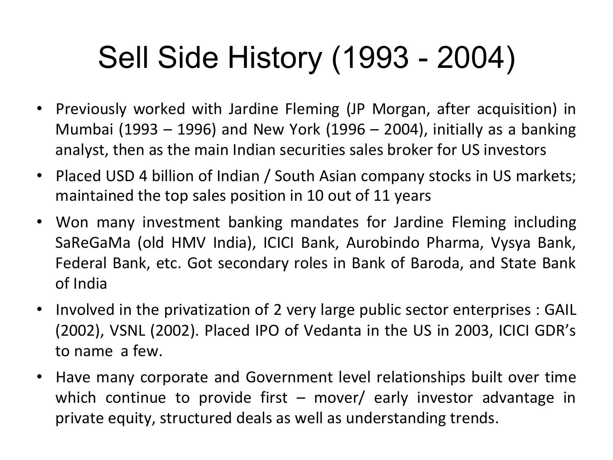### Sell Side History (1993 - 2004)

- Previously worked with Jardine Fleming (JP Morgan, after acquisition) in Mumbai (1993 – 1996) and New York (1996 – 2004), initially as a banking analyst, then as the main Indian securities sales broker for US investors
- Placed USD 4 billion of Indian / South Asian company stocks in US markets; maintained the top sales position in 10 out of 11 years
- Won many investment banking mandates for Jardine Fleming including SaReGaMa (old HMV India), ICICI Bank, Aurobindo Pharma, Vysya Bank, Federal Bank, etc. Got secondary roles in Bank of Baroda, and State Bank of India
- Involved in the privatization of 2 very large public sector enterprises : GAIL (2002), VSNL (2002). Placed IPO of Vedanta in the US in 2003, ICICI GDR's to name a few.
- Have many corporate and Government level relationships built over time which continue to provide first  $-$  mover/ early investor advantage in private equity, structured deals as well as understanding trends.